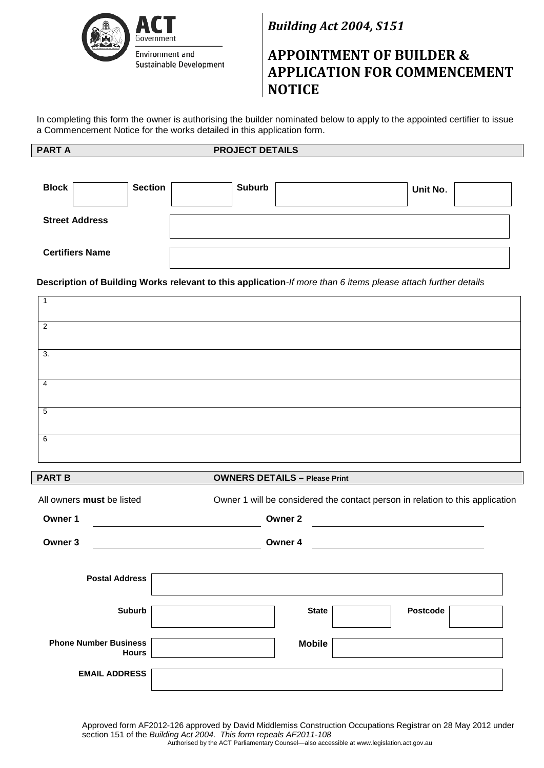

*Building Act 2004, S151*

# **APPOINTMENT OF BUILDER & APPLICATION FOR COMMENCEMENT NOTICE**

In completing this form the owner is authorising the builder nominated below to apply to the appointed certifier to issue a Commencement Notice for the works detailed in this application form.

## **PART A** PROJECT DETAILS

| <b>Block</b>           | <b>Section</b> | <b>Suburb</b> | Unit No. |  |
|------------------------|----------------|---------------|----------|--|
| <b>Street Address</b>  |                |               |          |  |
| <b>Certifiers Name</b> |                |               |          |  |

**Description of Building Works relevant to this application***-If more than 6 items please attach further details*

| $\overline{2}$ |  |
|----------------|--|
| 3.             |  |
| $\overline{4}$ |  |
| 5              |  |
| 6              |  |

### **PART B OWNERS DETAILS – Please Print**

| Owner 1 will be considered the contact person in relation to this application |  |  |  |  |
|-------------------------------------------------------------------------------|--|--|--|--|
| Owner 2                                                                       |  |  |  |  |
| Owner 4                                                                       |  |  |  |  |
|                                                                               |  |  |  |  |
| <b>Postcode</b><br><b>State</b>                                               |  |  |  |  |
| <b>Mobile</b>                                                                 |  |  |  |  |
|                                                                               |  |  |  |  |
|                                                                               |  |  |  |  |

Approved form AF2012-126 approved by David Middlemiss Construction Occupations Registrar on 28 May 2012 under section 151 of the *Building Act 2004. This form repeals AF2011-108* Authorised by the ACT Parliamentary Counsel—also accessible at www.legislation.act.gov.au